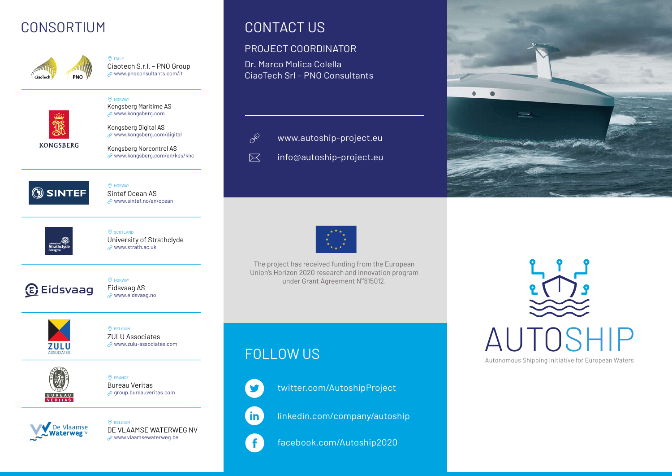## CONSORTIUM CONTACT US



Ciaotech S.r.l. – PNO Group www.pnoconsultants.com/it

 $Q$  ITALY

**O** NORWAY



Kongsberg Digital AS

Kongsberg Maritime AS www.kongsberg.com

**KONGSBERG** 

 $\mathcal P$  www.kongsberg.com/digital

Kongsberg Norcontrol AS  $\mathcal{O}$  www.kongsberg.com/en/kds/knc



**O** NORWAY Sintef Ocean AS www.sintef.no/en/ocean



**O** SCOTLAND University of Strathclyde  $\sqrt{ }$  www.strath.ac.uk



**O** NORWAY Eidsvaag AS www.eidsvaag.no



**O** BELGIUM ZULU Associates www.zulu-associates.com



 $\circledcirc$  FRANCE Bureau Veritas  $\mathcal P$  group.bureauveritas.com



**O** BELGIUM DE VLAAMSE WATERWEG NV  $\mathcal O$  www.vlaamsewaterweg.be

#### PROJECT COORDINATOR

Dr. Marco Molica Colella CiaoTech Srl – PNO Consultants



 $\nabla$ 

- www.autoship-project.eu
- info@autoship-project.eu



The project has received funding from the European Union's Horizon 2020 research and innovation program under Grant Agreement N°815012.



AUTOSHIP Autonomous Shipping Initiative for European Waters

# FOLLOW US



twitter.com/AutoshipProject

linkedin.com/company/autoship

facebook.com/Autoship2020